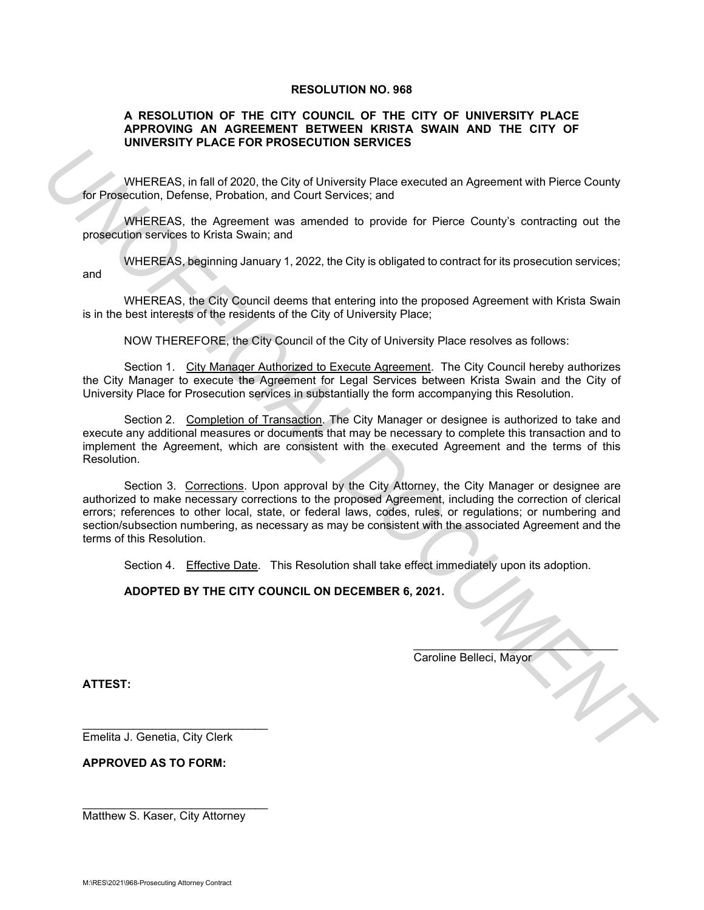#### **RESOLUTION NO. 968**

#### **A RESOLUTION OF THE CITY COUNCIL OF THE CITY OF UNIVERSITY PLACE APPROVING AN AGREEMENT BETWEEN KRISTA SWAIN AND THE CITY OF UNIVERSITY PLACE FOR PROSECUTION SERVICES**

WHEREAS, in fall of 2020, the City of University Place executed an Agreement with Pierce County for Prosecution, Defense, Probation, and Court Services; and

WHEREAS, the Agreement was amended to provide for Pierce County's contracting out the prosecution services to Krista Swain; and

WHEREAS, beginning January 1, 2022, the City is obligated to contract for its prosecution services; and

WHEREAS, the City Council deems that entering into the proposed Agreement with Krista Swain is in the best interests of the residents of the City of University Place;

NOW THEREFORE, the City Council of the City of University Place resolves as follows:

Section 1. City Manager Authorized to Execute Agreement. The City Council hereby authorizes the City Manager to execute the Agreement for Legal Services between Krista Swain and the City of University Place for Prosecution services in substantially the form accompanying this Resolution.

Section 2. Completion of Transaction. The City Manager or designee is authorized to take and execute any additional measures or documents that may be necessary to complete this transaction and to implement the Agreement, which are consistent with the executed Agreement and the terms of this Resolution.

Section 3. Corrections. Upon approval by the City Attorney, the City Manager or designee are authorized to make necessary corrections to the proposed Agreement, including the correction of clerical errors; references to other local, state, or federal laws, codes, rules, or regulations; or numbering and section/subsection numbering, as necessary as may be consistent with the associated Agreement and the terms of this Resolution. **UNIFICIAL S.** in all of 2020, the Chinese broad and Agreement with Pierce County<br> **UniProper Uniform Accessor** and Count Services and<br> **UNIFICIAL DOCUMENT PROPER IN FIGURE AS.** The Agreement with Strange proposed and<br>
Pro

Section 4. Effective Date. This Resolution shall take effect immediately upon its adoption.

\_\_\_\_\_\_\_\_\_\_\_\_\_\_\_\_\_\_\_\_\_\_\_\_\_\_\_\_\_\_\_\_

**ADOPTED BY THE CITY COUNCIL ON DECEMBER 6, 2021.** 

Caroline Belleci, Mayor

**ATTEST:**

Emelita J. Genetia, City Clerk

\_\_\_\_\_\_\_\_\_\_\_\_\_\_\_\_\_\_\_\_\_\_\_\_\_\_\_\_\_

**APPROVED AS TO FORM:**

Matthew S. Kaser, City Attorney

\_\_\_\_\_\_\_\_\_\_\_\_\_\_\_\_\_\_\_\_\_\_\_\_\_\_\_\_\_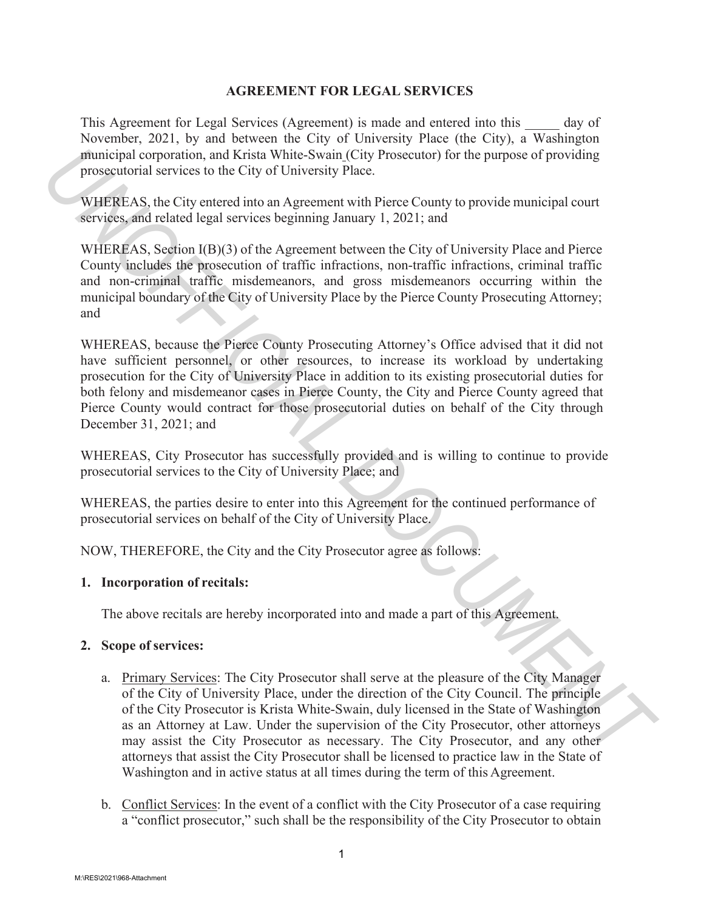## **AGREEMENT FOR LEGAL SERVICES**

This Agreement for Legal Services (Agreement) is made and entered into this day of November, 2021, by and between the City of University Place (the City), a Washington municipal corporation, and Krista White-Swain (City Prosecutor) for the purpose of providing prosecutorial services to the City of University Place.

WHEREAS, the City entered into an Agreement with Pierce County to provide municipal court services, and related legal services beginning January 1, 2021; and

WHEREAS, Section I(B)(3) of the Agreement between the City of University Place and Pierce County includes the prosecution of traffic infractions, non-traffic infractions, criminal traffic and non-criminal traffic misdemeanors, and gross misdemeanors occurring within the municipal boundary of the City of University Place by the Pierce County Prosecuting Attorney; and

WHEREAS, because the Pierce County Prosecuting Attorney's Office advised that it did not have sufficient personnel, or other resources, to increase its workload by undertaking prosecution for the City of University Place in addition to its existing prosecutorial duties for both felony and misdemeanor cases in Pierce County, the City and Pierce County agreed that Pierce County would contract for those prosecutorial duties on behalf of the City through December 31, 2021; and *Minitelysia concertained* and Kriste-Swint (City Prosecutor) for the purpose of providing<br> *Prosecutorial services* to the City of University Place.<br> *WHERENS*, the City entered into an Agreement with Pierce County to pro

WHEREAS, City Prosecutor has successfully provided and is willing to continue to provide prosecutorial services to the City of University Place; and

WHEREAS, the parties desire to enter into this Agreement for the continued performance of prosecutorial services on behalf of the City of University Place.

NOW, THEREFORE, the City and the City Prosecutor agree as follows:

## **1. Incorporation of recitals:**

The above recitals are hereby incorporated into and made a part of this Agreement.

## **2. Scope of services:**

- a. Primary Services: The City Prosecutor shall serve at the pleasure of the City Manager of the City of University Place, under the direction of the City Council. The principle of the City Prosecutor is Krista White-Swain, duly licensed in the State of Washington as an Attorney at Law. Under the supervision of the City Prosecutor, other attorneys may assist the City Prosecutor as necessary. The City Prosecutor, and any other attorneys that assist the City Prosecutor shall be licensed to practice law in the State of Washington and in active status at all times during the term of this Agreement.
- b. Conflict Services: In the event of a conflict with the City Prosecutor of a case requiring a "conflict prosecutor," such shall be the responsibility of the City Prosecutor to obtain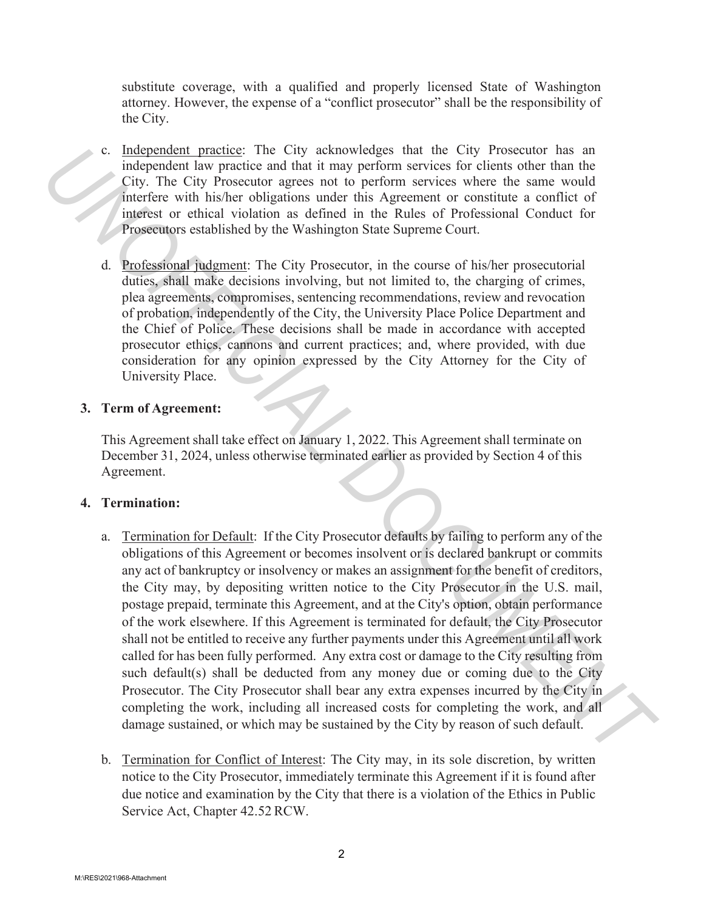substitute coverage, with a qualified and properly licensed State of Washington attorney. However, the expense of a "conflict prosecutor" shall be the responsibility of the City.

- c. Independent practice: The City acknowledges that the City Prosecutor has an independent law practice and that it may perform services for clients other than the City. The City Prosecutor agrees not to perform services where the same would interfere with his/her obligations under this Agreement or constitute a conflict of interest or ethical violation as defined in the Rules of Professional Conduct for Prosecutors established by the Washington State Supreme Court.
- d. Professional judgment: The City Prosecutor, in the course of his/her prosecutorial duties, shall make decisions involving, but not limited to, the charging of crimes, plea agreements, compromises, sentencing recommendations, review and revocation of probation, independently of the City, the University Place Police Department and the Chief of Police. These decisions shall be made in accordance with accepted prosecutor ethics, cannons and current practices; and, where provided, with due consideration for any opinion expressed by the City Attorney for the City of University Place.

## **3. Term of Agreement:**

This Agreement shall take effect on January 1, 2022. This Agreement shall terminate on December 31, 2024, unless otherwise terminated earlier as provided by Section 4 of this Agreement.

## **4. Termination:**

- a. Termination for Default: If the City Prosecutor defaults by failing to perform any of the obligations of this Agreement or becomes insolvent or is declared bankrupt or commits any act of bankruptcy or insolvency or makes an assignment for the benefit of creditors, the City may, by depositing written notice to the City Prosecutor in the U.S. mail, postage prepaid, terminate this Agreement, and at the City's option, obtain performance of the work elsewhere. If this Agreement is terminated for default, the City Prosecutor shall not be entitled to receive any further payments under this Agreement until all work called for has been fully performed. Any extra cost or damage to the City resulting from such default(s) shall be deducted from any money due or coming due to the City Prosecutor. The City Prosecutor shall bear any extra expenses incurred by the City in completing the work, including all increased costs for completing the work, and all damage sustained, or which may be sustained by the City by reason of such default. **C.** Independent law practice: The City reachoved space that the City Prosecutor has a different to the control in the City Proceedical variation of the same would interfare with his New objection services to cereform ser
	- b. Termination for Conflict of Interest: The City may, in its sole discretion, by written notice to the City Prosecutor, immediately terminate this Agreement if it is found after due notice and examination by the City that there is a violation of the Ethics in Public Service Act, Chapter 42.52 RCW.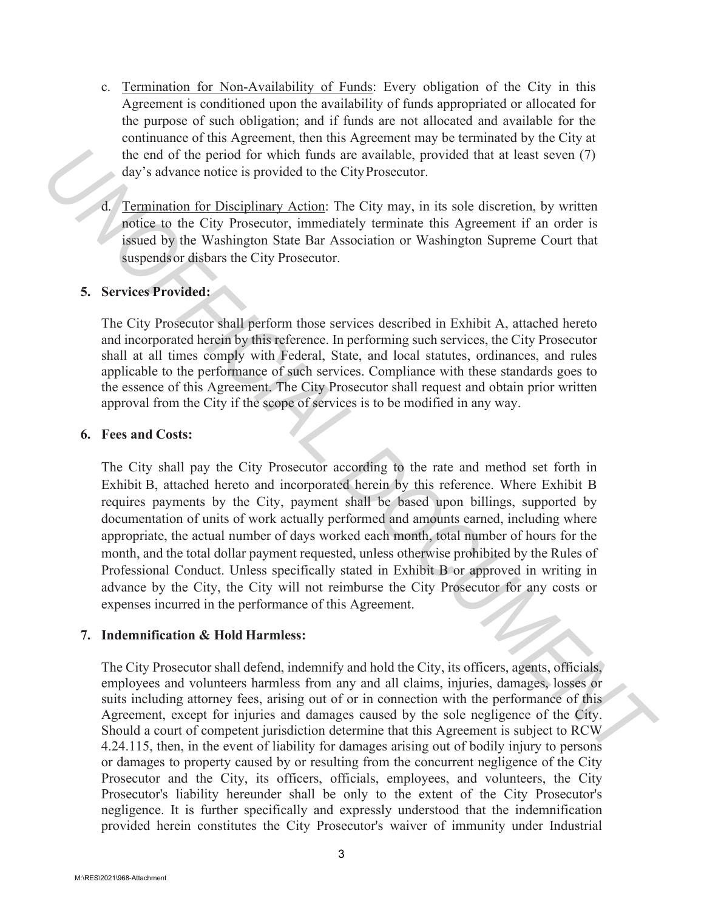- c. Termination for Non-Availability of Funds: Every obligation of the City in this Agreement is conditioned upon the availability of funds appropriated or allocated for the purpose of such obligation; and if funds are not allocated and available for the continuance of this Agreement, then this Agreement may be terminated by the City at the end of the period for which funds are available, provided that at least seven (7) day's advance notice is provided to the City Prosecutor.
- d. Termination for Disciplinary Action: The City may, in its sole discretion, by written notice to the City Prosecutor, immediately terminate this Agreement if an order is issued by the Washington State Bar Association or Washington Supreme Court that suspends or disbars the City Prosecutor.

## **5. Services Provided:**

The City Prosecutor shall perform those services described in Exhibit A, attached hereto and incorporated herein by this reference. In performing such services, the City Prosecutor shall at all times comply with Federal, State, and local statutes, ordinances, and rules applicable to the performance of such services. Compliance with these standards goes to the essence of this Agreement. The City Prosecutor shall request and obtain prior written approval from the City if the scope of services is to be modified in any way.

### **6. Fees and Costs:**

The City shall pay the City Prosecutor according to the rate and method set forth in Exhibit B, attached hereto and incorporated herein by this reference. Where Exhibit B requires payments by the City, payment shall be based upon billings, supported by documentation of units of work actually performed and amounts earned, including where appropriate, the actual number of days worked each month, total number of hours for the month, and the total dollar payment requested, unless otherwise prohibited by the Rules of Professional Conduct. Unless specifically stated in Exhibit B or approved in writing in advance by the City, the City will not reimburse the City Prosecutor for any costs or expenses incurred in the performance of this Agreement. the end of the period for which funds are available, provided that at least seven (7)<br> *Uny* stackness reliction is provided to the City Prosecutor,<br> *Unyanismy* Action: The City Prosecuto, instructinely terminate this Ag

## **7. Indemnification & Hold Harmless:**

The City Prosecutor shall defend, indemnify and hold the City, its officers, agents, officials, employees and volunteers harmless from any and all claims, injuries, damages, losses or suits including attorney fees, arising out of or in connection with the performance of this Agreement, except for injuries and damages caused by the sole negligence of the City. Should a court of competent jurisdiction determine that this Agreement is subject to RCW 4.24.115, then, in the event of liability for damages arising out of bodily injury to persons or damages to property caused by or resulting from the concurrent negligence of the City Prosecutor and the City, its officers, officials, employees, and volunteers, the City Prosecutor's liability hereunder shall be only to the extent of the City Prosecutor's negligence. It is further specifically and expressly understood that the indemnification provided herein constitutes the City Prosecutor's waiver of immunity under Industrial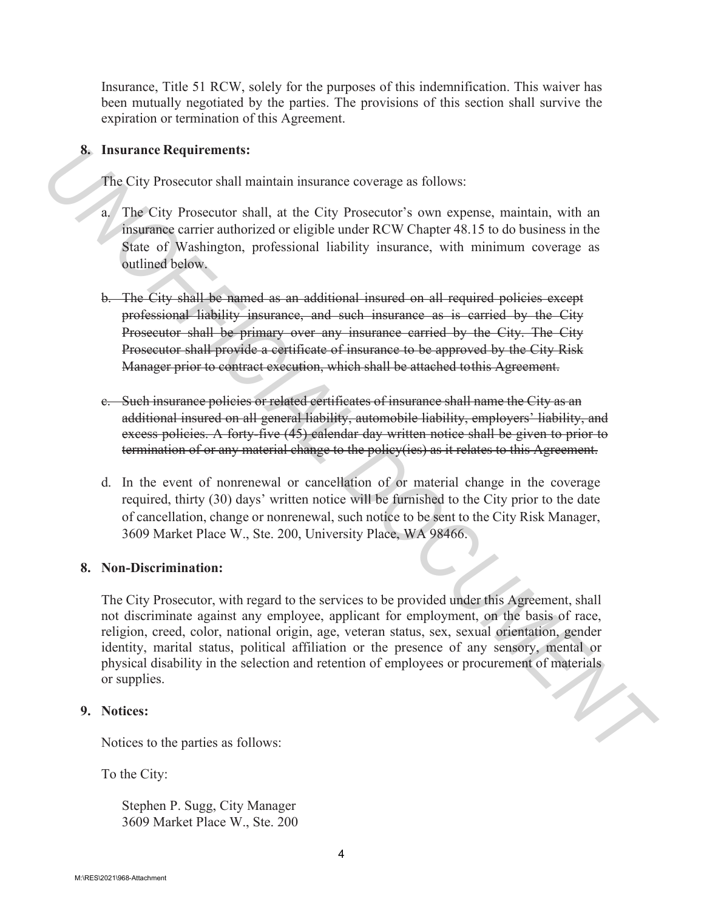Insurance, Title 51 RCW, solely for the purposes of this indemnification. This waiver has been mutually negotiated by the parties. The provisions of this section shall survive the expiration or termination of this Agreement.

## **8. Insurance Requirements:**

The City Prosecutor shall maintain insurance coverage as follows:

- a. The City Prosecutor shall, at the City Prosecutor's own expense, maintain, with an insurance carrier authorized or eligible under RCW Chapter 48.15 to do business in the State of Washington, professional liability insurance, with minimum coverage as outlined below.
- b. The City shall be named as an additional insured on all required policies except professional liability insurance, and such insurance as is carried by the City Prosecutor shall be primary over any insurance carried by the City. The City Prosecutor shall provide a certificate of insurance to be approved by the City Risk Manager prior to contract execution, which shall be attached to this Agreement.
- c. Such insurance policies or related certificates of insurance shall name the City as an additional insured on all general liability, automobile liability, employers' liability, and excess policies. A forty-five (45) calendar day written notice shall be given to prior to termination of or any material change to the policy(ies) as it relates to this Agreement.
- d. In the event of nonrenewal or cancellation of or material change in the coverage required, thirty (30) days' written notice will be furnished to the City prior to the date of cancellation, change or nonrenewal, such notice to be sent to the City Risk Manager, 3609 Market Place W., Ste. 200, University Place, WA 98466.

## **8. Non-Discrimination:**

The City Prosecutor, with regard to the services to be provided under this Agreement, shall not discriminate against any employee, applicant for employment, on the basis of race, religion, creed, color, national origin, age, veteran status, sex, sexual orientation, gender identity, marital status, political affiliation or the presence of any sensory, mental or physical disability in the selection and retention of employees or procurement of materials or supplies. **S.** Insurance Requirements:<br>
The City Prosecutor shall minitain insurance coverage as follows:<br>
The City Prosecutor shall, at the City Prosecutor's own expense, maintain, with an This City Prosecutor shall, at the City Pr

## **9. Notices:**

Notices to the parties as follows:

To the City:

Stephen P. Sugg, City Manager 3609 Market Place W., Ste. 200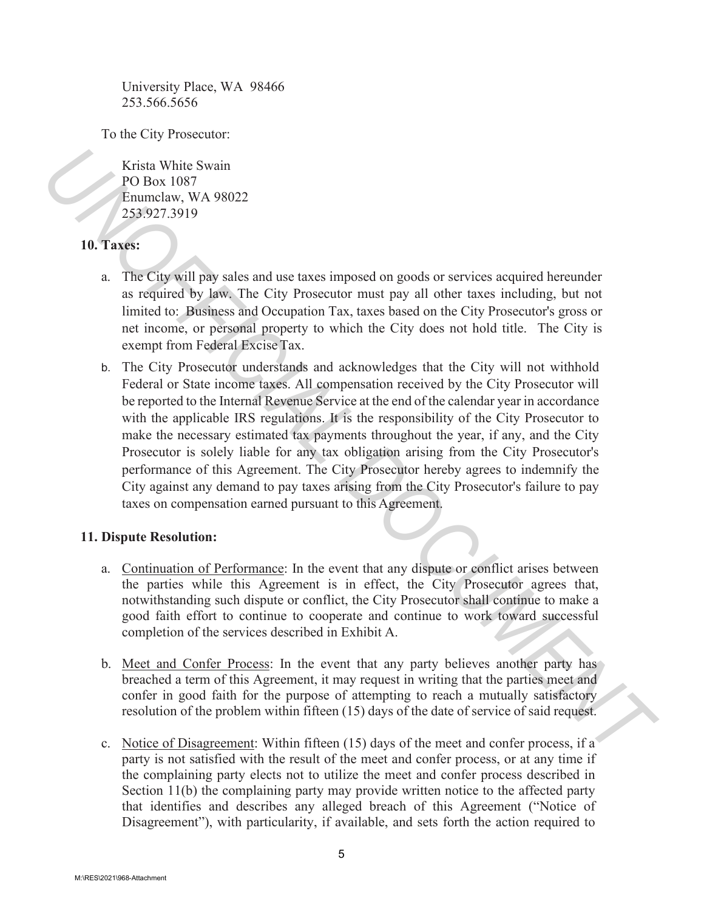University Place, WA 98466 253.566.5656

To the City Prosecutor:

Krista White Swain PO Box 1087 Enumclaw, WA 98022 253.927.3919

# **10. Taxes:**

- a. The City will pay sales and use taxes imposed on goods or services acquired hereunder as required by law. The City Prosecutor must pay all other taxes including, but not limited to: Business and Occupation Tax, taxes based on the City Prosecutor's gross or net income, or personal property to which the City does not hold title. The City is exempt from Federal Excise Tax.
- b. The City Prosecutor understands and acknowledges that the City will not withhold Federal or State income taxes. All compensation received by the City Prosecutor will be reported to the Internal Revenue Service at the end of the calendar year in accordance with the applicable IRS regulations. It is the responsibility of the City Prosecutor to make the necessary estimated tax payments throughout the year, if any, and the City Prosecutor is solely liable for any tax obligation arising from the City Prosecutor's performance of this Agreement. The City Prosecutor hereby agrees to indemnify the City against any demand to pay taxes arising from the City Prosecutor's failure to pay taxes on compensation earned pursuant to this Agreement. **Exista White Swain**<br> **PO Box 1687**<br> **UP** To Box 1687<br> **UP** To Box 1687<br> **UP** Tower (1897 Will pay seles and use traces imposed on goods or services acquired hereunder<br> **ID C** Taxes:<br> **ALCOCUMENT TO TO A TO A TO A TO A T**

## **11. Dispute Resolution:**

- a. Continuation of Performance: In the event that any dispute or conflict arises between the parties while this Agreement is in effect, the City Prosecutor agrees that, notwithstanding such dispute or conflict, the City Prosecutor shall continue to make a good faith effort to continue to cooperate and continue to work toward successful completion of the services described in Exhibit A.
- b. Meet and Confer Process: In the event that any party believes another party has breached a term of this Agreement, it may request in writing that the parties meet and confer in good faith for the purpose of attempting to reach a mutually satisfactory resolution of the problem within fifteen (15) days of the date of service of said request.
- c. Notice of Disagreement: Within fifteen (15) days of the meet and confer process, if a party is not satisfied with the result of the meet and confer process, or at any time if the complaining party elects not to utilize the meet and confer process described in Section 11(b) the complaining party may provide written notice to the affected party that identifies and describes any alleged breach of this Agreement ("Notice of Disagreement"), with particularity, if available, and sets forth the action required to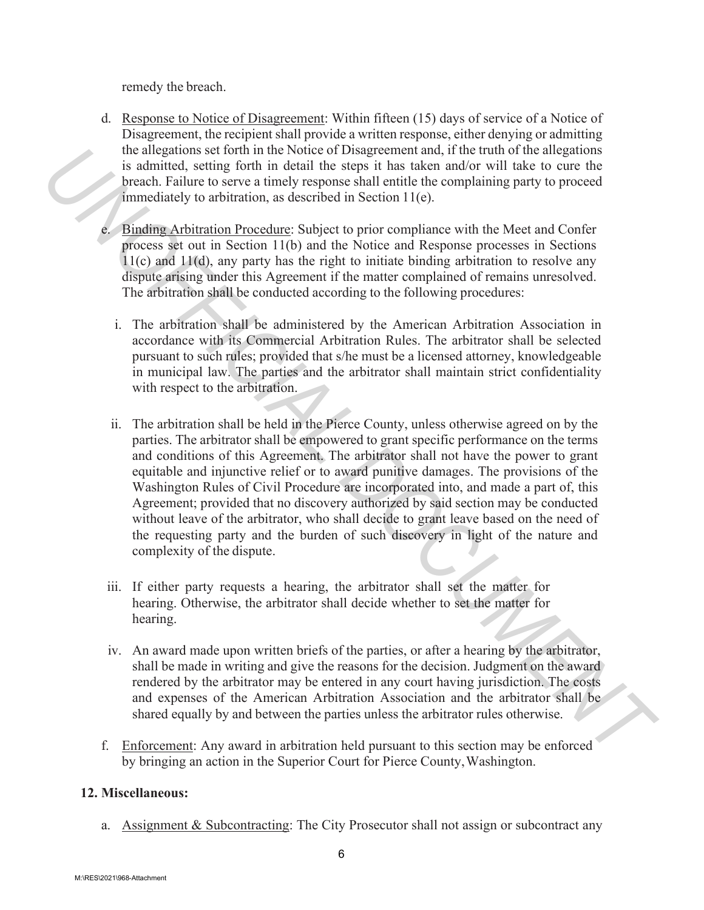remedy the breach.

- d. Response to Notice of Disagreement: Within fifteen (15) days of service of a Notice of Disagreement, the recipient shall provide a written response, either denying or admitting the allegations set forth in the Notice of Disagreement and, if the truth of the allegations is admitted, setting forth in detail the steps it has taken and/or will take to cure the breach. Failure to serve a timely response shall entitle the complaining party to proceed immediately to arbitration, as described in Section 11(e).
- e. Binding Arbitration Procedure: Subject to prior compliance with the Meet and Confer process set out in Section 11(b) and the Notice and Response processes in Sections 11(c) and 11(d), any party has the right to initiate binding arbitration to resolve any dispute arising under this Agreement if the matter complained of remains unresolved. The arbitration shall be conducted according to the following procedures:
	- i. The arbitration shall be administered by the American Arbitration Association in accordance with its Commercial Arbitration Rules. The arbitrator shall be selected pursuant to such rules; provided that s/he must be a licensed attorney, knowledgeable in municipal law. The parties and the arbitrator shall maintain strict confidentiality with respect to the arbitration.
- ii. The arbitration shall be held in the Pierce County, unless otherwise agreed on by the parties. The arbitrator shall be empowered to grant specific performance on the terms and conditions of this Agreement. The arbitrator shall not have the power to grant equitable and injunctive relief or to award punitive damages. The provisions of the Washington Rules of Civil Procedure are incorporated into, and made a part of, this Agreement; provided that no discovery authorized by said section may be conducted without leave of the arbitrator, who shall decide to grant leave based on the need of the requesting party and the burden of such discovery in light of the nature and complexity of the dispute. The allegeations set forth in the Notice of Disagreement and, if the truth of the allegeations and complete the method of the steps it has taken and/or will take to cure the breach. Fuller to over an timely response shill
	- iii. If either party requests a hearing, the arbitrator shall set the matter for hearing. Otherwise, the arbitrator shall decide whether to set the matter for hearing.
	- iv. An award made upon written briefs of the parties, or after a hearing by the arbitrator, shall be made in writing and give the reasons for the decision. Judgment on the award rendered by the arbitrator may be entered in any court having jurisdiction. The costs and expenses of the American Arbitration Association and the arbitrator shall be shared equally by and between the parties unless the arbitrator rules otherwise.
	- f. Enforcement: Any award in arbitration held pursuant to this section may be enforced by bringing an action in the Superior Court for Pierce County, Washington.

# **12. Miscellaneous:**

a. Assignment & Subcontracting: The City Prosecutor shall not assign or subcontract any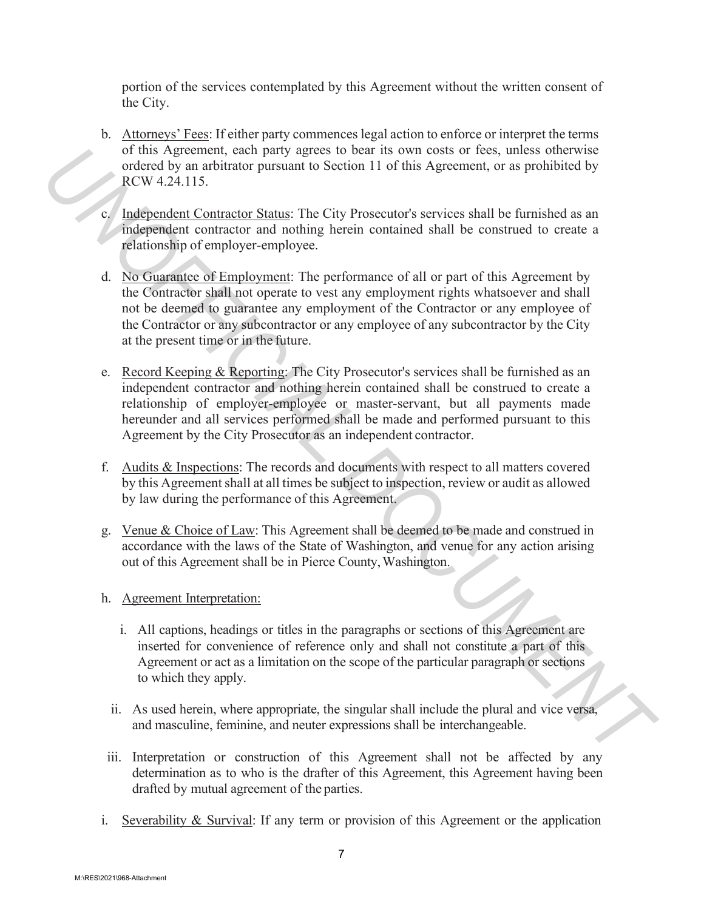portion of the services contemplated by this Agreement without the written consent of the City.

- b. Attorneys' Fees: If either party commences legal action to enforce or interpret the terms of this Agreement, each party agrees to bear its own costs or fees, unless otherwise ordered by an arbitrator pursuant to Section 11 of this Agreement, or as prohibited by RCW 4.24.115.
- c. Independent Contractor Status: The City Prosecutor's services shall be furnished as an independent contractor and nothing herein contained shall be construed to create a relationship of employer-employee.
- d. No Guarantee of Employment: The performance of all or part of this Agreement by the Contractor shall not operate to vest any employment rights whatsoever and shall not be deemed to guarantee any employment of the Contractor or any employee of the Contractor or any subcontractor or any employee of any subcontractor by the City at the present time or in the future. of this Agreement cost hard year to sell its own costs of else and the specific the system of the systems of the systems of the systems of the systems of the systems of the systems of the systems of the systems of the sys
	- e. Record Keeping & Reporting: The City Prosecutor's services shall be furnished as an independent contractor and nothing herein contained shall be construed to create a relationship of employer-employee or master-servant, but all payments made hereunder and all services performed shall be made and performed pursuant to this Agreement by the City Prosecutor as an independent contractor.
	- f. Audits & Inspections: The records and documents with respect to all matters covered by this Agreement shall at all times be subject to inspection, review or audit as allowed by law during the performance of this Agreement.
	- g. Venue & Choice of Law: This Agreement shall be deemed to be made and construed in accordance with the laws of the State of Washington, and venue for any action arising out of this Agreement shall be in Pierce County,Washington.
	- h. Agreement Interpretation:
		- i. All captions, headings or titles in the paragraphs or sections of this Agreement are inserted for convenience of reference only and shall not constitute a part of this Agreement or act as a limitation on the scope of the particular paragraph or sections to which they apply.
		- ii. As used herein, where appropriate, the singular shall include the plural and vice versa, and masculine, feminine, and neuter expressions shall be interchangeable.
	- iii. Interpretation or construction of this Agreement shall not be affected by any determination as to who is the drafter of this Agreement, this Agreement having been drafted by mutual agreement of the parties.
	- i. Severability & Survival: If any term or provision of this Agreement or the application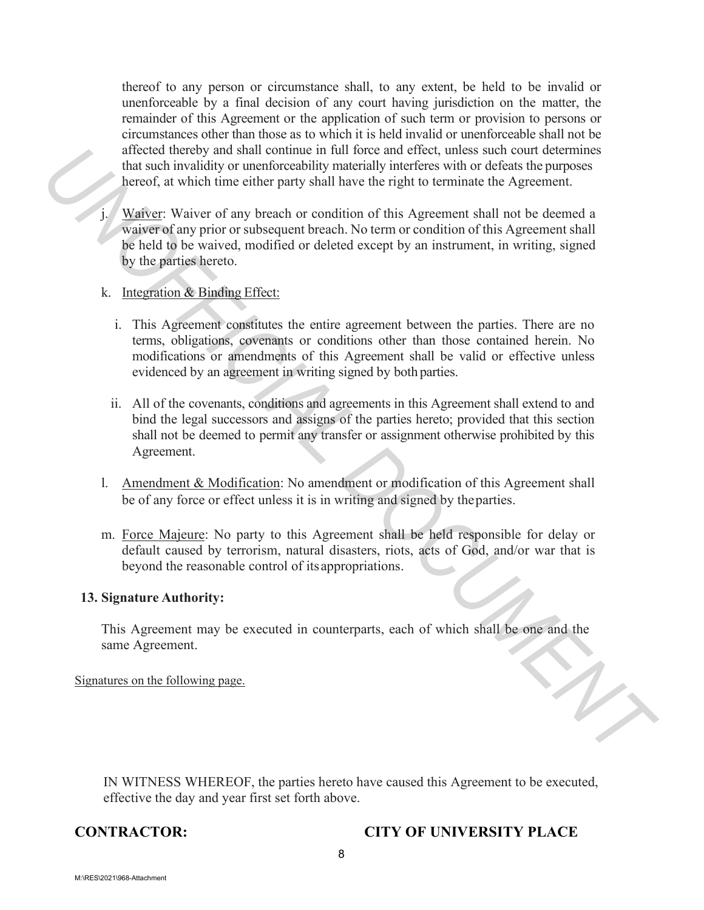thereof to any person or circumstance shall, to any extent, be held to be invalid or unenforceable by a final decision of any court having jurisdiction on the matter, the remainder of this Agreement or the application of such term or provision to persons or circumstances other than those as to which it is held invalid or unenforceable shall not be affected thereby and shall continue in full force and effect, unless such court determines that such invalidity or unenforceability materially interferes with or defeats the purposes hereof, at which time either party shall have the right to terminate the Agreement.

- Waiver: Waiver of any breach or condition of this Agreement shall not be deemed a waiver of any prior or subsequent breach. No term or condition of this Agreement shall be held to be waived, modified or deleted except by an instrument, in writing, signed by the parties hereto. Antecto the toty and shall continue in fittl force and effect, unks such count determinates that such involved that such involved to the matrix shall have the right to terminate the Agreement.<br> **UNOFFICIAL UNOFFICIAL DOCUM** 
	- k. Integration & Binding Effect:
		- i. This Agreement constitutes the entire agreement between the parties. There are no terms, obligations, covenants or conditions other than those contained herein. No modifications or amendments of this Agreement shall be valid or effective unless evidenced by an agreement in writing signed by both parties.
		- ii. All of the covenants, conditions and agreements in this Agreement shall extend to and bind the legal successors and assigns of the parties hereto; provided that this section shall not be deemed to permit any transfer or assignment otherwise prohibited by this Agreement.
	- l. Amendment & Modification: No amendment or modification of this Agreement shall be of any force or effect unless it is in writing and signed by the parties.
	- m. Force Majeure: No party to this Agreement shall be held responsible for delay or default caused by terrorism, natural disasters, riots, acts of God, and/or war that is beyond the reasonable control of its appropriations.

### **13. Signature Authority:**

This Agreement may be executed in counterparts, each of which shall be one and the same Agreement.

Signatures on the following page.

IN WITNESS WHEREOF, the parties hereto have caused this Agreement to be executed, effective the day and year first set forth above.

## **CONTRACTOR: CITY OF UNIVERSITY PLACE**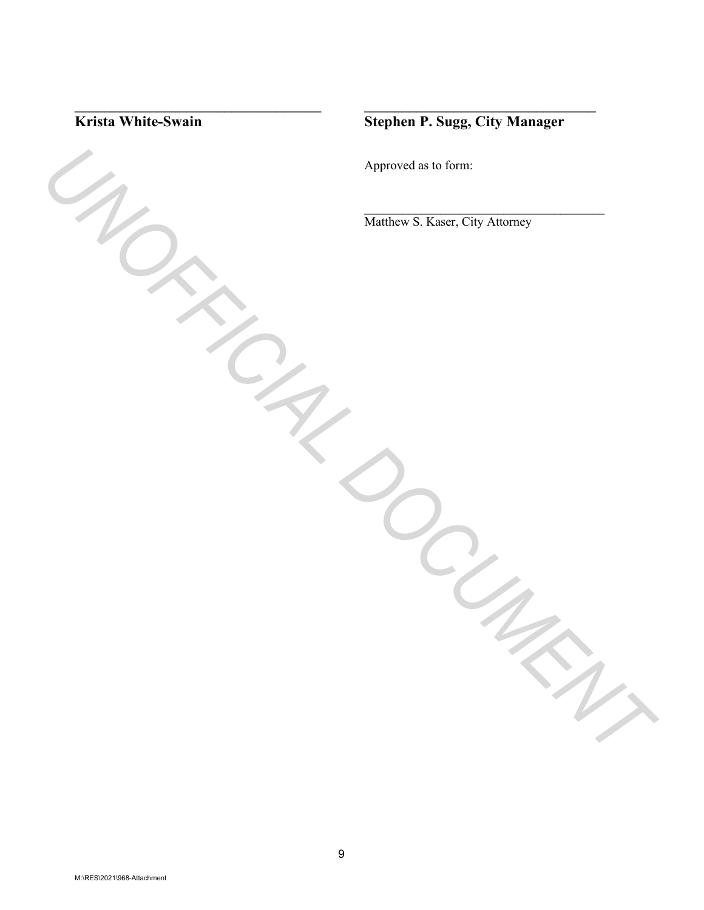

**\_\_\_\_\_\_\_\_\_\_\_\_\_\_\_\_\_\_\_\_\_\_\_\_\_\_\_\_\_\_\_\_\_ \_\_\_\_\_\_\_\_\_\_\_\_\_\_\_\_\_\_\_\_\_\_\_\_\_\_\_\_\_\_\_**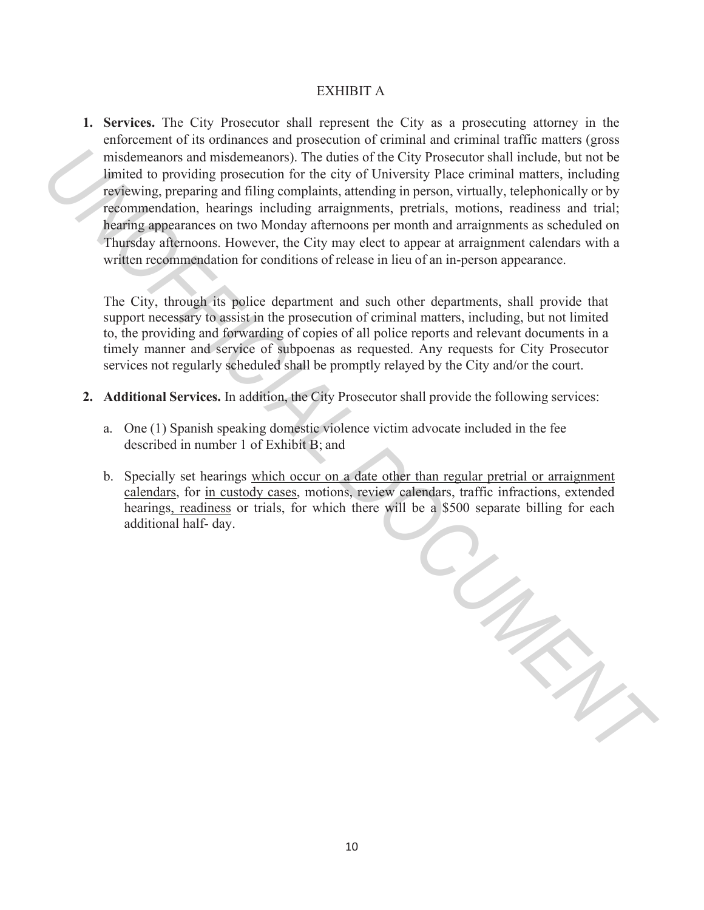### EXHIBIT A

**1. Services.** The City Prosecutor shall represent the City as a prosecuting attorney in the enforcement of its ordinances and prosecution of criminal and criminal traffic matters (gross misdemeanors and misdemeanors). The duties of the City Prosecutor shall include, but not be limited to providing prosecution for the city of University Place criminal matters, including reviewing, preparing and filing complaints, attending in person, virtually, telephonically or by recommendation, hearings including arraignments, pretrials, motions, readiness and trial; hearing appearances on two Monday afternoons per month and arraignments as scheduled on Thursday afternoons. However, the City may elect to appear at arraignment calendars with a written recommendation for conditions of release in lieu of an in-person appearance. misdenesnors and misdenesnors). The duties of the City Prosecutor skull include, but on the given that is presentation to providing to person, virtually, deterbioration for the cyclosive and filter stress in each track in

The City, through its police department and such other departments, shall provide that support necessary to assist in the prosecution of criminal matters, including, but not limited to, the providing and forwarding of copies of all police reports and relevant documents in a timely manner and service of subpoenas as requested. Any requests for City Prosecutor services not regularly scheduled shall be promptly relayed by the City and/or the court.

- **2. Additional Services.** In addition, the City Prosecutor shall provide the following services:
	- a. One (1) Spanish speaking domestic violence victim advocate included in the fee described in number 1 of Exhibit B; and
	- b. Specially set hearings which occur on a date other than regular pretrial or arraignment calendars, for in custody cases, motions, review calendars, traffic infractions, extended hearings, readiness or trials, for which there will be a \$500 separate billing for each additional half- day.